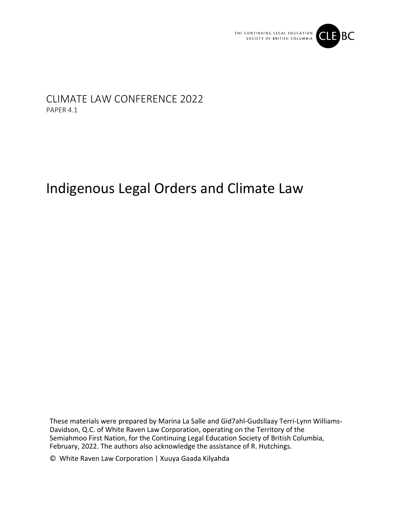

# CLIMATE LAW CONFERENCE 2022 PAPER 4.1

# Indigenous Legal Orders and Climate Law

These materials were prepared by Marina La Salle and Gid7ahl-Gudsllaay Terri-Lynn Williams-Davidson, Q.C. of White Raven Law Corporation, operating on the Territory of the Semiahmoo First Nation, for the Continuing Legal Education Society of British Columbia, February, 2022. The authors also acknowledge the assistance of R. Hutchings.

© White Raven Law Corporation | Xuuya Gaada Kilyahda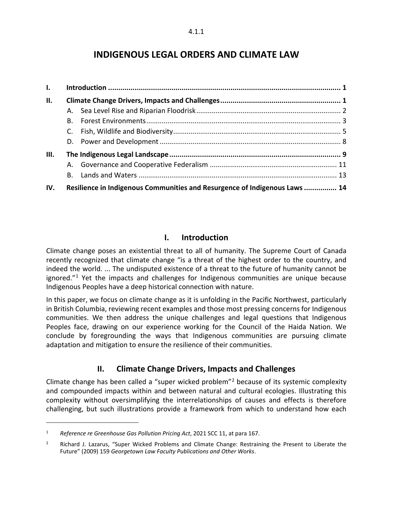# **INDIGENOUS LEGAL ORDERS AND CLIMATE LAW**

| $\mathbf{L}$ |                                                                            |  |  |
|--------------|----------------------------------------------------------------------------|--|--|
| II.          |                                                                            |  |  |
|              |                                                                            |  |  |
|              | В.                                                                         |  |  |
|              | C.                                                                         |  |  |
|              |                                                                            |  |  |
| Ш.           |                                                                            |  |  |
|              |                                                                            |  |  |
|              |                                                                            |  |  |
| IV.          | Resilience in Indigenous Communities and Resurgence of Indigenous Laws  14 |  |  |

## **I. Introduction**

<span id="page-1-0"></span>Climate change poses an existential threat to all of humanity. The Supreme Court of Canada recently recognized that climate change "is a threat of the highest order to the country, and indeed the world. ... The undisputed existence of a threat to the future of humanity cannot be ignored. $11$  $11$  Yet the impacts and challenges for Indigenous communities are unique because Indigenous Peoples have a deep historical connection with nature.

In this paper, we focus on climate change as it is unfolding in the Pacific Northwest, particularly in British Columbia, reviewing recent examples and those most pressing concerns for Indigenous communities. We then address the unique challenges and legal questions that Indigenous Peoples face, drawing on our experience working for the Council of the Haida Nation. We conclude by foregrounding the ways that Indigenous communities are pursuing climate adaptation and mitigation to ensure the resilience of their communities.

# <span id="page-1-1"></span>**II. Climate Change Drivers, Impacts and Challenges**

Climate change has been called a "super wicked problem"[2](#page-1-3) because of its systemic complexity and compounded impacts within and between natural and cultural ecologies. Illustrating this complexity without oversimplifying the interrelationships of causes and effects is therefore challenging, but such illustrations provide a framework from which to understand how each

<span id="page-1-2"></span><sup>1</sup> *Reference re Greenhouse Gas Pollution Pricing Act*, 2021 SCC 11, at para 167.

<span id="page-1-3"></span><sup>&</sup>lt;sup>2</sup> Richard J. Lazarus, "Super Wicked Problems and Climate Change: Restraining the Present to Liberate the Future" (2009) 159 *Georgetown Law Faculty Publications and Other Works*.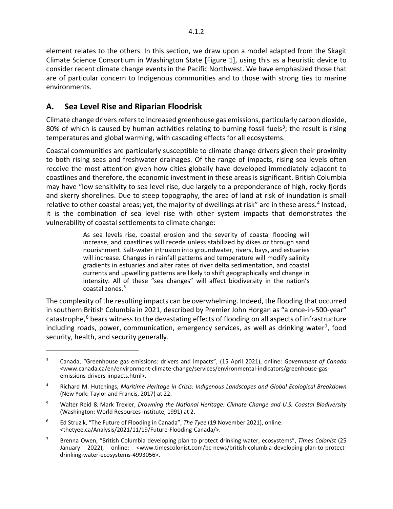element relates to the others. In this section, we draw upon a model adapted from the Skagit Climate Science Consortium in Washington State [Figure 1], using this as a heuristic device to consider recent climate change events in the Pacific Northwest. We have emphasized those that are of particular concern to Indigenous communities and to those with strong ties to marine environments.

# <span id="page-2-0"></span>**A. Sea Level Rise and Riparian Floodrisk**

 $\overline{a}$ 

Climate change drivers refers to increased greenhouse gas emissions, particularly carbon dioxide, 80% of which is caused by human activities relating to burning fossil fuels<sup>[3](#page-2-1)</sup>; the result is rising temperatures and global warming, with cascading effects for all ecosystems.

Coastal communities are particularly susceptible to climate change drivers given their proximity to both rising seas and freshwater drainages. Of the range of impacts, rising sea levels often receive the most attention given how cities globally have developed immediately adjacent to coastlines and therefore, the economic investment in these areas is significant. British Columbia may have "low sensitivity to sea level rise, due largely to a preponderance of high, rocky fjords and skerry shorelines. Due to steep topography, the area of land at risk of inundation is small relative to other coastal areas; yet, the majority of dwellings at risk" are in these areas.<sup>[4](#page-2-2)</sup> Instead, it is the combination of sea level rise with other system impacts that demonstrates the vulnerability of coastal settlements to climate change:

> As sea levels rise, coastal erosion and the severity of coastal flooding will increase, and coastlines will recede unless stabilized by dikes or through sand nourishment. Salt-water intrusion into groundwater, rivers, bays, and estuaries will increase. Changes in rainfall patterns and temperature will modify salinity gradients in estuaries and alter rates of river delta sedimentation, and coastal currents and upwelling patterns are likely to shift geographically and change in intensity. All of these "sea changes" will affect biodiversity in the nation's coastal zones.<sup>[5](#page-2-3)</sup>

The complexity of the resulting impacts can be overwhelming. Indeed, the flooding that occurred in southern British Columbia in 2021, described by Premier John Horgan as "a once-in-500-year" catastrophe, $6$  bears witness to the devastating effects of flooding on all aspects of infrastructure including roads, power, communication, emergency services, as well as drinking water<sup>[7](#page-2-5)</sup>, food security, health, and security generally.

<span id="page-2-1"></span><sup>3</sup> Canada, "Greenhouse gas emissions: drivers and impacts", (15 April 2021), online: *Government of Canada*  <www.canada.ca/en/environment-climate-change/services/environmental-indicators/greenhouse-gasemissions-drivers-impacts.html>.

<span id="page-2-2"></span><sup>4</sup> Richard M. Hutchings, *Maritime Heritage in Crisis: Indigenous Landscapes and Global Ecological Breakdown* (New York: Taylor and Francis, 2017) at 22.

<span id="page-2-3"></span><sup>5</sup> Walter Reid & Mark Trexler, *Drowning the National Heritage: Climate Change and U.S. Coastal Biodiversity* (Washington: World Resources Institute, 1991) at 2.

<span id="page-2-4"></span><sup>6</sup> Ed Struzik, "The Future of Flooding in Canada", *The Tyee* (19 November 2021), online: <thetyee.ca/Analysis/2021/11/19/Future-Flooding-Canada/>.

<span id="page-2-5"></span><sup>7</sup> Brenna Owen, "British Columbia developing plan to protect drinking water, ecosystems", *Times Colonist* (25 January 2022), online: <www.timescolonist.com/bc-news/british-columbia-developing-plan-to-protectdrinking-water-ecosystems-4993056>.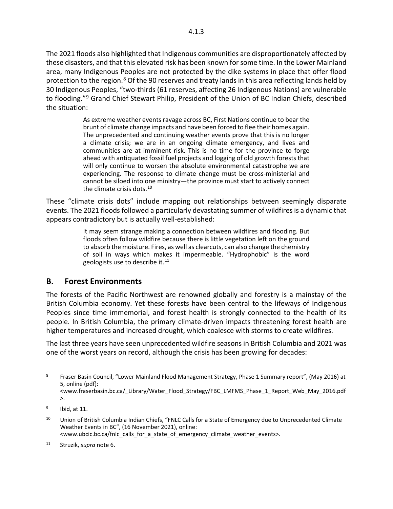The 2021 floods also highlighted that Indigenous communities are disproportionately affected by these disasters, and that this elevated risk has been known for some time. In the Lower Mainland area, many Indigenous Peoples are not protected by the dike systems in place that offer flood protection to the region. $8$  Of the 90 reserves and treaty lands in this area reflecting lands held by 30 Indigenous Peoples, "two-thirds (61 reserves, affecting 26 Indigenous Nations) are vulnerable to flooding."<sup>[9](#page-3-2)</sup> Grand Chief Stewart Philip, President of the Union of BC Indian Chiefs, described the situation:

> As extreme weather events ravage across BC, First Nations continue to bear the brunt of climate change impacts and have been forced to flee their homes again. The unprecedented and continuing weather events prove that this is no longer a climate crisis; we are in an ongoing climate emergency, and lives and communities are at imminent risk. This is no time for the province to forge ahead with antiquated fossil fuel projects and logging of old growth forests that will only continue to worsen the absolute environmental catastrophe we are experiencing. The response to climate change must be cross-ministerial and cannot be siloed into one ministry—the province must start to actively connect the climate crisis dots.<sup>[10](#page-3-3)</sup>

These "climate crisis dots" include mapping out relationships between seemingly disparate events. The 2021 floods followed a particularly devastating summer of wildfires is a dynamic that appears contradictory but is actually well-established:

> It may seem strange making a connection between wildfires and flooding. But floods often follow wildfire because there is little vegetation left on the ground to absorb the moisture. Fires, as well as clearcuts, can also change the chemistry of soil in ways which makes it impermeable. "Hydrophobic" is the word geologists use to describe it. $^{11}$  $^{11}$  $^{11}$

#### <span id="page-3-0"></span>**B. Forest Environments**

The forests of the Pacific Northwest are renowned globally and forestry is a mainstay of the British Columbia economy. Yet these forests have been central to the lifeways of Indigenous Peoples since time immemorial, and forest health is strongly connected to the health of its people. In British Columbia, the primary climate-driven impacts threatening forest health are higher temperatures and increased drought, which coalesce with storms to create wildfires.

The last three years have seen unprecedented wildfire seasons in British Columbia and 2021 was one of the worst years on record, although the crisis has been growing for decades:

<span id="page-3-1"></span><sup>&</sup>lt;sup>8</sup> Fraser Basin Council, "Lower Mainland Flood Management Strategy, Phase 1 Summary report", (May 2016) at 5, online (pdf):

<sup>&</sup>lt;www.fraserbasin.bc.ca/\_Library/Water\_Flood\_Strategy/FBC\_LMFMS\_Phase\_1\_Report\_Web\_May\_2016.pdf >.

<span id="page-3-2"></span> $9$  Ibid, at 11.

<span id="page-3-3"></span><sup>&</sup>lt;sup>10</sup> Union of British Columbia Indian Chiefs, "FNLC Calls for a State of Emergency due to Unprecedented Climate Weather Events in BC", (16 November 2021), online: <www.ubcic.bc.ca/fnlc\_calls\_for\_a\_state\_of\_emergency\_climate\_weather\_events>.

<span id="page-3-4"></span><sup>11</sup> Struzik, *supra* note 6.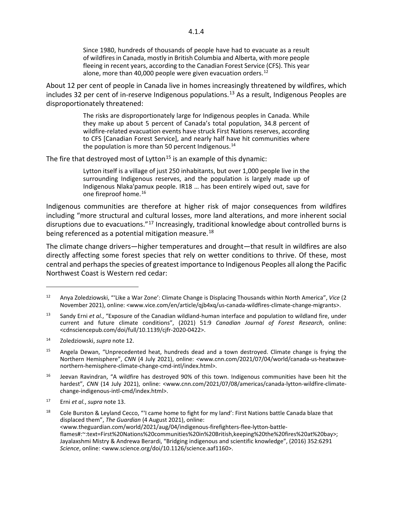About 12 per cent of people in Canada live in homes increasingly threatened by wildfires, which includes 32 per cent of in-reserve Indigenous populations. [13](#page-4-1) As a result, Indigenous Peoples are disproportionately threatened:

> The risks are disproportionately large for Indigenous peoples in Canada. While they make up about 5 percent of Canada's total population, 34.8 percent of wildfire-related evacuation events have struck First Nations reserves, according to CFS [Canadian Forest Service], and nearly half have hit communities where the population is more than 50 percent Indigenous. $14$

The fire that destroyed most of Lytton<sup>[15](#page-4-3)</sup> is an example of this dynamic:

Lytton itself is a village of just 250 inhabitants, but over 1,000 people live in the surrounding Indigenous reserves, and the population is largely made up of Indigenous Nlaka'pamux people. IR18 … has been entirely wiped out, save for one fireproof home.<sup>[16](#page-4-4)</sup>

Indigenous communities are therefore at higher risk of major consequences from wildfires including "more structural and cultural losses, more land alterations, and more inherent social disruptions due to evacuations."<sup>[17](#page-4-5)</sup> Increasingly, traditional knowledge about controlled burns is being referenced as a potential mitigation measure.<sup>[18](#page-4-6)</sup>

The climate change drivers—higher temperatures and drought—that result in wildfires are also directly affecting some forest species that rely on wetter conditions to thrive. Of these, most central and perhaps the species of greatest importance to Indigenous Peoples all along the Pacific Northwest Coast is Western red cedar:

<span id="page-4-0"></span><sup>12</sup> Anya Zoledziowski, "'Like a War Zone': Climate Change is Displacing Thousands within North America", *Vice* (2 November 2021), online: <www.vice.com/en/article/qjb4xq/us-canada-wildfires-climate-change-migrants>.

<span id="page-4-1"></span><sup>13</sup> Sandy Erni *et al.*, "Exposure of the Canadian wildland-human interface and population to wildland fire, under current and future climate conditions", (2021) 51:9 *Canadian Journal of Forest Research*, online: <cdnsciencepub.com/doi/full/10.1139/cjfr-2020-0422>.

<span id="page-4-2"></span><sup>14</sup> Zoledziowski, *supra* note 12.

<span id="page-4-3"></span><sup>&</sup>lt;sup>15</sup> Angela Dewan, "Unprecedented heat, hundreds dead and a town destroyed. Climate change is frying the Northern Hemisphere", *CNN* (4 July 2021), online: *<*www.cnn.com/2021/07/04/world/canada-us-heatwavenorthern-hemisphere-climate-change-cmd-intl/index.html>.

<span id="page-4-4"></span><sup>&</sup>lt;sup>16</sup> Jeevan Ravindran, "A wildfire has destroyed 90% of this town. Indigenous communities have been hit the hardest", *CNN* (14 July 2021), online: <www.cnn.com/2021/07/08/americas/canada-lytton-wildfire-climatechange-indigenous-intl-cmd/index.html>.

<span id="page-4-5"></span><sup>17</sup> Erni *et al.*, *supra* note 13.

<span id="page-4-6"></span><sup>18</sup> Cole Burston & Leyland Cecco, "'I came home to fight for my land': First Nations battle Canada blaze that displaced them", *The Guardian* (4 August 2021), online: <www.theguardian.com/world/2021/aug/04/indigenous-firefighters-flee-lytton-battleflames#:~:text=First%20Nations%20communities%20in%20British,keeping%20the%20fires%20at%20bay>; Jayalaxshmi Mistry & Andrewa Berardi, "Bridging indigenous and scientific knowledge", (2016) 352:6291 *Science*, online: <www.science.org/doi/10.1126/science.aaf1160>.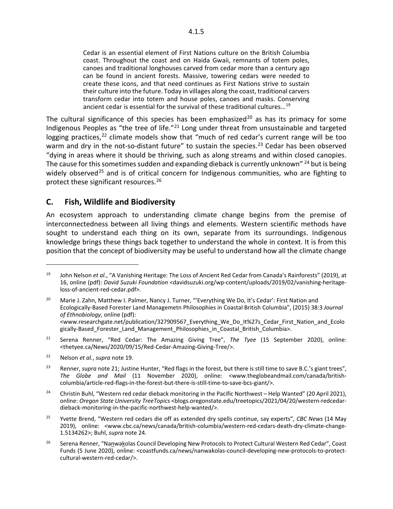Cedar is an essential element of First Nations culture on the British Columbia coast. Throughout the coast and on Haida Gwaii, remnants of totem poles, canoes and traditional longhouses carved from cedar more than a century ago can be found in ancient forests. Massive, towering cedars were needed to create these icons, and that need continues as First Nations strive to sustain their culture into the future. Today in villages along the coast, traditional carvers transform cedar into totem and house poles, canoes and masks. Conserving ancient cedar is essential for the survival of these traditional cultures…[19](#page-5-1)

The cultural significance of this species has been emphasized<sup>[20](#page-5-2)</sup> as has its primacy for some Indigenous Peoples as "the tree of life."[21](#page-5-3) Long under threat from unsustainable and targeted logging practices,  $22$  climate models show that "much of red cedar's current range will be too warm and dry in the not-so-distant future" to sustain the species.<sup>[23](#page-5-5)</sup> Cedar has been observed "dying in areas where it should be thriving, such as along streams and within closed canopies. The cause for this sometimes sudden and expanding dieback is currently unknown"  $^{24}$  $^{24}$  $^{24}$  but is being widely observed<sup>[25](#page-5-7)</sup> and is of critical concern for Indigenous communities, who are fighting to protect these significant resources.[26](#page-5-8)

#### <span id="page-5-0"></span>**C. Fish, Wildlife and Biodiversity**

An ecosystem approach to understanding climate change begins from the premise of interconnectedness between all living things and elements. Western scientific methods have sought to understand each thing on its own, separate from its surroundings. Indigenous knowledge brings these things back together to understand the whole in context. It is from this position that the concept of biodiversity may be useful to understand how all the climate change

<span id="page-5-1"></span><sup>19</sup> John Nelson *et al.*, "A Vanishing Heritage: The Loss of Ancient Red Cedar from Canada's Rainforests" (2019), at 16, online (pdf): *David Suzuki Foundation* <davidsuzuki.org/wp-content/uploads/2019/02/vanishing-heritageloss-of-ancient-red-cedar.pdf>.

<span id="page-5-2"></span><sup>&</sup>lt;sup>20</sup> Marie J. Zahn, Matthew I. Palmer, Nancy J. Turner, "'Everything We Do, It's Cedar': First Nation and Ecologically-Based Forester Land Managemetn Philosophies in Coastal British Columbia", (2015) 38:3 *Journal of Ethnobiology*, online (pdf): <www.researchgate.net/publication/327909567\_Everything\_We\_Do\_It%27s\_Cedar\_First\_Nation\_and\_Ecolo gically-Based Forester Land Management Philosophies in Coastal British Columbia>.

<span id="page-5-3"></span><sup>21</sup> Serena Renner, "Red Cedar: The Amazing Giving Tree", *The Tyee* (15 September 2020), online: <thetyee.ca/News/2020/09/15/Red-Cedar-Amazing-Giving-Tree/>.

<span id="page-5-4"></span><sup>22</sup> Nelson *et al.*, *supra* note 19.

<span id="page-5-5"></span><sup>23</sup> Renner, *supra* note 21; Justine Hunter, "Red flags in the forest, but there is still time to save B.C.'s giant trees", *The Globe and Mail* (11 November 2020), online: <www.theglobeandmail.com/canada/britishcolumbia/article-red-flags-in-the-forest-but-there-is-still-time-to-save-bcs-giant/>.

<span id="page-5-6"></span><sup>&</sup>lt;sup>24</sup> Christin Buhl, "Western red cedar dieback monitoring in the Pacific Northwest – Help Wanted" (20 April 2021), online: *Oregon State University TreeTopics* <blogs.oregonstate.edu/treetopics/2021/04/20/western-redcedardieback-monitoring-in-the-pacific-northwest-help-wanted/>.

<span id="page-5-7"></span><sup>25</sup> Yvette Brend, "Western red cedars die off as extended dry spells continue, say experts", *CBC News* (14 May 2019), online: <www.cbc.ca/news/canada/british-columbia/western-red-cedars-death-dry-climate-change-1.5134262>; Buhl, *supra* note 24.

<span id="page-5-8"></span><sup>&</sup>lt;sup>26</sup> Serena Renner, "Nanwakolas Council Developing New Protocols to Protect Cultural Western Red Cedar", Coast Funds (5 June 2020), online: <coastfunds.ca/news/nanwakolas-council-developing-new-protocols-to-protectcultural-western-red-cedar/>.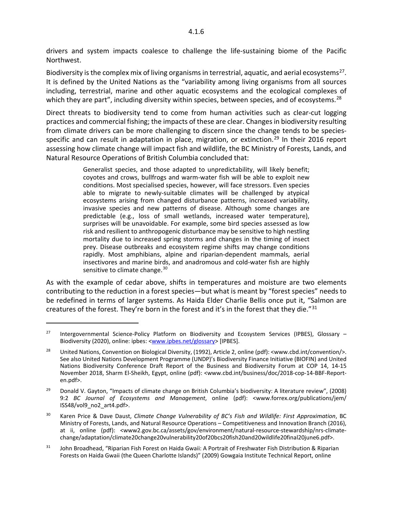Northwest.

 $\overline{a}$ 

Biodiversity is the complex mix of living organisms in terrestrial, aquatic, and aerial ecosystems<sup>27</sup>. It is defined by the United Nations as the "variability among living organisms from all sources including, terrestrial, marine and other aquatic ecosystems and the ecological complexes of which they are part", including diversity within species, between species, and of ecosystems.<sup>[28](#page-6-1)</sup>

Direct threats to biodiversity tend to come from human activities such as clear-cut logging practices and commercial fishing; the impacts of these are clear. Changes in biodiversity resulting from climate drivers can be more challenging to discern since the change tends to be species-specific and can result in adaptation in place, migration, or extinction.<sup>[29](#page-6-2)</sup> In their 2016 report assessing how climate change will impact fish and wildlife, the BC Ministry of Forests, Lands, and Natural Resource Operations of British Columbia concluded that:

> Generalist species, and those adapted to unpredictability, will likely benefit; coyotes and crows, bullfrogs and warm-water fish will be able to exploit new conditions. Most specialised species, however, will face stressors. Even species able to migrate to newly-suitable climates will be challenged by atypical ecosystems arising from changed disturbance patterns, increased variability, invasive species and new patterns of disease. Although some changes are predictable (e.g., loss of small wetlands, increased water temperature), surprises will be unavoidable. For example, some bird species assessed as low risk and resilient to anthropogenic disturbance may be sensitive to high nestling mortality due to increased spring storms and changes in the timing of insect prey. Disease outbreaks and ecosystem regime shifts may change conditions rapidly. Most amphibians, alpine and riparian-dependent mammals, aerial insectivores and marine birds, and anadromous and cold-water fish are highly sensitive to climate change.<sup>[30](#page-6-3)</sup>

As with the example of cedar above, shifts in temperatures and moisture are two elements contributing to the reduction in a forest species—but what is meant by "forest species" needs to be redefined in terms of larger systems. As Haida Elder Charlie Bellis once put it, "Salmon are creatures of the forest. They're born in the forest and it's in the forest that they die."<sup>[31](#page-6-4)</sup>

<span id="page-6-4"></span><sup>31</sup> John Broadhead, "Riparian Fish Forest on Haida Gwaii: A Portrait of Freshwater Fish Distribution & Riparian Forests on Haida Gwaii (the Queen Charlotte Islands)" (2009) Gowgaia Institute Technical Report, online

<span id="page-6-0"></span><sup>&</sup>lt;sup>27</sup> Intergovernmental Science-Policy Platform on Biodiversity and Ecosystem Services (IPBES), Glossary – Biodiversity (2020), online: ipbes: [<www.ipbes.net/glossary>](http://www.ipbes.net/glossary) [IPBES].

<span id="page-6-1"></span><sup>&</sup>lt;sup>28</sup> United Nations, Convention on Biological Diversity, (1992), Article 2, online (pdf): <www.cbd.int/convention/>. See also United Nations Development Programme (UNDP)'s Biodiversity Finance Initiative (BIOFIN) and United Nations Biodiversity Conference Draft Report of the Business and Biodiversity Forum at COP 14, 14-15 November 2018, Sharm El-Sheikh, Egypt, online (pdf): <www.cbd.int/business/doc/2018-cop-14-BBF-Reporten.pdf>.

<span id="page-6-2"></span><sup>&</sup>lt;sup>29</sup> Donald V. Gayton, "Impacts of climate change on British Columbia's biodiversity: A literature review", (2008) 9:2 *BC Journal of Ecosystems and Management*, online (pdf): <www.forrex.org/publications/jem/ ISS48/vol9\_no2\_art4.pdf>.

<span id="page-6-3"></span><sup>30</sup> Karen Price & Dave Daust, *Climate Change Vulnerability of BC's Fish and Wildlife: First Approximation*, BC Ministry of Forests, Lands, and Natural Resource Operations – Competitiveness and Innovation Branch (2016), at ii, online (pdf): <www2.gov.bc.ca/assets/gov/environment/natural-resource-stewardship/nrs-climatechange/adaptation/climate20change20vulnerability20of20bcs20fish20and20wildlife20final20june6.pdf>.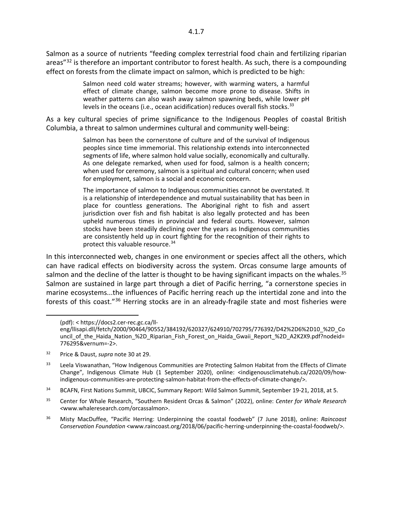Salmon as a source of nutrients "feeding complex terrestrial food chain and fertilizing riparian areas"<sup>[32](#page-7-0)</sup> is therefore an important contributor to forest health. As such, there is a compounding effect on forests from the climate impact on salmon, which is predicted to be high:

> Salmon need cold water streams; however, with warming waters, a harmful effect of climate change, salmon become more prone to disease. Shifts in weather patterns can also wash away salmon spawning beds, while lower pH levels in the oceans (i.e., ocean acidification) reduces overall fish stocks.  $33$

As a key cultural species of prime significance to the Indigenous Peoples of coastal British Columbia, a threat to salmon undermines cultural and community well-being:

> Salmon has been the cornerstone of culture and of the survival of Indigenous peoples since time immemorial. This relationship extends into interconnected segments of life, where salmon hold value socially, economically and culturally. As one delegate remarked, when used for food, salmon is a health concern; when used for ceremony, salmon is a spiritual and cultural concern; when used for employment, salmon is a social and economic concern.

> The importance of salmon to Indigenous communities cannot be overstated. It is a relationship of interdependence and mutual sustainability that has been in place for countless generations. The Aboriginal right to fish and assert jurisdiction over fish and fish habitat is also legally protected and has been upheld numerous times in provincial and federal courts. However, salmon stocks have been steadily declining over the years as Indigenous communities are consistently held up in court fighting for the recognition of their rights to protect this valuable resource.<sup>[34](#page-7-2)</sup>

In this interconnected web, changes in one environment or species affect all the others, which can have radical effects on biodiversity across the system. Orcas consume large amounts of salmon and the decline of the latter is thought to be having significant impacts on the whales.<sup>[35](#page-7-3)</sup> Salmon are sustained in large part through a diet of Pacific herring, "a cornerstone species in marine ecosystems...the influences of Pacific herring reach up the intertidal zone and into the forests of this coast."[36](#page-7-4) Herring stocks are in an already-fragile state and most fisheries were

 <sup>(</sup>pdf): < https://docs2.cer-rec.gc.ca/ll-

eng/llisapi.dll/fetch/2000/90464/90552/384192/620327/624910/702795/776392/D42%2D6%2D10\_%2D\_Co uncil of the Haida Nation %2D Riparian Fish Forest on Haida Gwaii Report %2D A2K2X9.pdf?nodeid= 776295&vernum=-2>.

<span id="page-7-0"></span><sup>32</sup> Price & Daust, *supra* note 30 at 29.

<span id="page-7-1"></span><sup>&</sup>lt;sup>33</sup> Leela Viswanathan, "How Indigenous Communities are Protecting Salmon Habitat from the Effects of Climate Change", Indigenous Climate Hub (1 September 2020), online: <indigenousclimatehub.ca/2020/09/howindigenous-communities-are-protecting-salmon-habitat-from-the-effects-of-climate-change/>.

<span id="page-7-2"></span><sup>&</sup>lt;sup>34</sup> BCAFN, First Nations Summit, UBCIC, Summary Report: Wild Salmon Summit, September 19-21, 2018, at 5.

<span id="page-7-3"></span><sup>35</sup> Center for Whale Research, "Southern Resident Orcas & Salmon" (2022), online: *Center for Whale Research <*www.whaleresearch.com/orcassalmon>.

<span id="page-7-4"></span><sup>36</sup> Misty MacDuffee, "Pacific Herring: Underpinning the coastal foodweb" (7 June 2018), online: *Raincoast Conservation Foundation* <www.raincoast.org/2018/06/pacific-herring-underpinning-the-coastal-foodweb/>.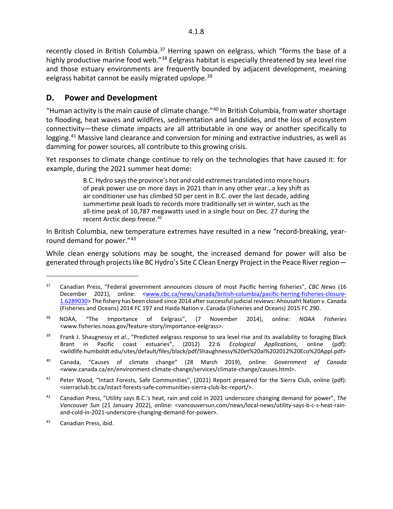recently closed in British Columbia.<sup>[37](#page-8-1)</sup> Herring spawn on eelgrass, which "forms the base of a highly productive marine food web."<sup>[38](#page-8-2)</sup> Eelgrass habitat is especially threatened by sea level rise and those estuary environments are frequently bounded by adjacent development, meaning eelgrass habitat cannot be easily migrated upslope.<sup>[39](#page-8-3)</sup>

## <span id="page-8-0"></span>**D. Power and Development**

"Human activity is the main cause of climate change."[40](#page-8-4) In British Columbia, from water shortage to flooding, heat waves and wildfires, sedimentation and landslides, and the loss of ecosystem connectivity—these climate impacts are all attributable in one way or another specifically to logging.<sup>[41](#page-8-5)</sup> Massive land clearance and conversion for mining and extractive industries, as well as damming for power sources, all contribute to this growing crisis.

Yet responses to climate change continue to rely on the technologies that have caused it: for example, during the 2021 summer heat dome:

> B.C. Hydro says the province's hot and cold extremes translated into more hours of peak power use on more days in 2021 than in any other year…a key shift as air conditioner use has climbed 50 per cent in B.C. over the last decade, adding summertime peak loads to records more traditionally set in winter, such as the all-time peak of 10,787 megawatts used in a single hour on Dec. 27 during the recent Arctic deep freeze.<sup>[42](#page-8-6)</sup>

In British Columbia, new temperature extremes have resulted in a new "record-breaking, yearround demand for power."[43](#page-8-7)

While clean energy solutions may be sought, the increased demand for power will also be generated through projects like BC Hydro's Site C Clean Energy Project in the Peace River region—

<span id="page-8-1"></span><sup>37</sup> Canadian Press, "Federal government announces closure of most Pacific herring fisheries", *CBC News* (16 December 2021), online: [<www.cbc.ca/news/canada/british-columbia/pacific-herring-fisheries-closure-](http://www.cbc.ca/news/canada/british-columbia/pacific-herring-fisheries-closure-1.6289030)[1.6289030>](http://www.cbc.ca/news/canada/british-columbia/pacific-herring-fisheries-closure-1.6289030) The fishery has been closed since 2014 after successful judicial reviews: Ahousaht Nation v. Canada (Fisheries and Oceans) 2014 FC 197 and Haida Nation v. Canada (Fisheries and Oceans) 2015 FC 290.

<span id="page-8-2"></span><sup>38</sup> NOAA, "The Importance of Eelgrass", (7 November 2014), online: *NOAA Fisheries*  <www.fisheries.noaa.gov/feature-story/importance-eelgrass>.

<span id="page-8-3"></span><sup>39</sup> Frank J. Shaugnessy *et al.*, "Predicted eelgrass response to sea level rise and its availability to foraging Black Brant in Pacific coast estuaries", (2012) 22:6 *Ecological Applications*, online (pdf): <wildlife.humboldt.edu/sites/default/files/black/pdf/Shaughnessy%20et%20al%202012%20Eco%20Appl.pdf>

<span id="page-8-4"></span><sup>40</sup> Canada, "Causes of climate change" (28 March 2019), online: *Government of Canada*  <www.canada.ca/en/environment-climate-change/services/climate-change/causes.html>.

<span id="page-8-5"></span><sup>&</sup>lt;sup>41</sup> Peter Wood, "Intact Forests, Safe Communities", (2021) Report prepared for the Sierra Club, online (pdf): <sierraclub.bc.ca/intact-forests-safe-communities-sierra-club-bc-report/>.

<span id="page-8-6"></span><sup>42</sup> Canadian Press, "Utility says B.C.'s heat, rain and cold in 2021 underscore changing demand for power", *The Vancouver Sun* (21 January 2022), online: <vancouversun.com/news/local-news/utility-says-b-c-s-heat-rainand-cold-in-2021-underscore-changing-demand-for-power>.

<span id="page-8-7"></span><sup>43</sup> Canadian Press, ibid.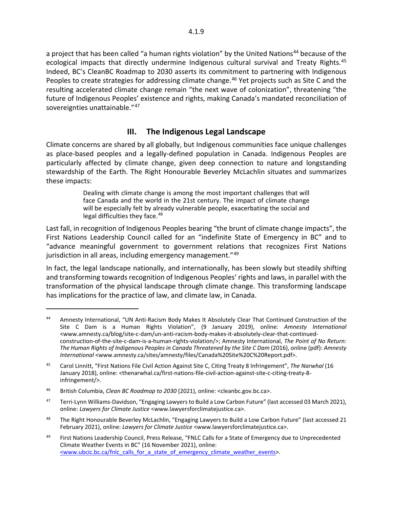a project that has been called "a human rights violation" by the United Nations<sup>[44](#page-9-1)</sup> because of the ecological impacts that directly undermine Indigenous cultural survival and Treaty Rights.<sup>[45](#page-9-2)</sup> Indeed, BC's CleanBC Roadmap to 2030 asserts its commitment to partnering with Indigenous Peoples to create strategies for addressing climate change.<sup>[46](#page-9-3)</sup> Yet projects such as Site C and the resulting accelerated climate change remain "the next wave of colonization", threatening "the future of Indigenous Peoples' existence and rights, making Canada's mandated reconciliation of sovereignties unattainable."[47](#page-9-4)

### <span id="page-9-0"></span>**III. The Indigenous Legal Landscape**

Climate concerns are shared by all globally, but Indigenous communities face unique challenges as place-based peoples and a legally-defined population in Canada. Indigenous Peoples are particularly affected by climate change, given deep connection to nature and longstanding stewardship of the Earth. The Right Honourable Beverley McLachlin situates and summarizes these impacts:

> Dealing with climate change is among the most important challenges that will face Canada and the world in the 21st century. The impact of climate change will be especially felt by already vulnerable people, exacerbating the social and legal difficulties they face.<sup>[48](#page-9-5)</sup>

Last fall, in recognition of Indigenous Peoples bearing "the brunt of climate change impacts", the First Nations Leadership Council called for an "indefinite State of Emergency in BC" and to "advance meaningful government to government relations that recognizes First Nations jurisdiction in all areas, including emergency management."<sup>[49](#page-9-6)</sup>

In fact, the legal landscape nationally, and internationally, has been slowly but steadily shifting and transforming towards recognition of Indigenous Peoples' rights and laws, in parallel with the transformation of the physical landscape through climate change. This transforming landscape has implications for the practice of law, and climate law, in Canada.

<span id="page-9-1"></span><sup>44</sup> Amnesty International, "UN Anti-Racism Body Makes It Absolutely Clear That Continued Construction of the Site C Dam is a Human Rights Violation", (9 January 2019), online: *Amnesty International*  <www.amnesty.ca/blog/site-c-dam/un-anti-racism-body-makes-it-absolutely-clear-that-continuedconstruction-of-the-site-c-dam-is-a-human-rights-violation/>; Amnesty International, *The Point of No Return: The Human Rights of Indigenous Peoples in Canada Threatened by the Site C Dam* (2016), online (pdf): *Amnesty International* <www.amnesty.ca/sites/amnesty/files/Canada%20Site%20C%20Report.pdf>.

<span id="page-9-2"></span><sup>45</sup> Carol Linnitt, "First Nations File Civil Action Against Site C, Citing Treaty 8 Infringement", *The Narwhal* (16 January 2018), online: <thenarwhal.ca/first-nations-file-civil-action-against-site-c-citing-treaty-8 infringement/>.

<span id="page-9-3"></span><sup>46</sup> British Columbia, *Clean BC Roadmap to 2030* (2021), online: <cleanbc.gov.bc.ca>.

<span id="page-9-4"></span><sup>&</sup>lt;sup>47</sup> Terri-Lynn Williams-Davidson, "Engaging Lawyers to Build a Low Carbon Future" (last accessed 03 March 2021), online: *Lawyers for Climate Justice* <www.lawyersforclimatejustice.ca>.

<span id="page-9-5"></span><sup>&</sup>lt;sup>48</sup> The Right Honourable Beverley McLachlin, "Engaging Lawyers to Build a Low Carbon Future" (last accessed 21 February 2021), online: *Lawyers for Climate Justice* <www.lawyersforclimatejustice.ca>.

<span id="page-9-6"></span><sup>&</sup>lt;sup>49</sup> First Nations Leadership Council, Press Release, "FNLC Calls for a State of Emergency due to Unprecedented Climate Weather Events in BC" (16 November 2021), online: <www.ubcic.bc.ca/fnlc\_calls\_for\_a\_state\_of\_emergency\_climate\_weather\_events>.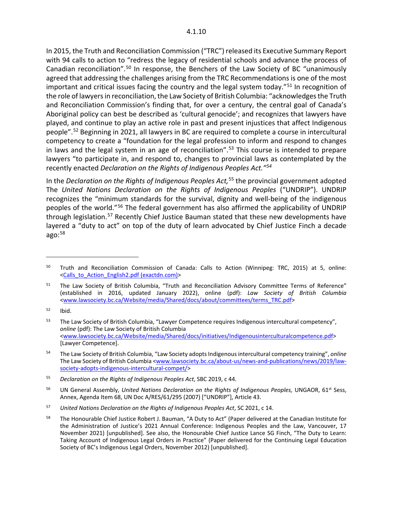In 2015, the Truth and Reconciliation Commission ("TRC") released its Executive Summary Report with 94 calls to action to "redress the legacy of residential schools and advance the process of Canadian reconciliation".[50](#page-10-0) In response, the Benchers of the Law Society of BC "unanimously agreed that addressing the challenges arising from the TRC Recommendations is one of the most important and critical issues facing the country and the legal system today."<sup>[51](#page-10-1)</sup> In recognition of the role of lawyers in reconciliation, the Law Society of British Columbia: "acknowledges the Truth and Reconciliation Commission's finding that, for over a century, the central goal of Canada's Aboriginal policy can best be described as 'cultural genocide'; and recognizes that lawyers have played, and continue to play an active role in past and present injustices that affect Indigenous people".[52](#page-10-2) Beginning in 2021, all lawyers in BC are required to complete a course in intercultural competency to create a "foundation for the legal profession to inform and respond to changes in laws and the legal system in an age of reconciliation".<sup>[53](#page-10-3)</sup> This course is intended to prepare lawyers "to participate in, and respond to, changes to provincial laws as contemplated by the recently enacted *Declaration on the Rights of Indigenous Peoples Act."[54](#page-10-4)*

In the *Declaration on the Rights of Indigenous Peoples Act,*[55](#page-10-5) the provincial government adopted The *United Nations Declaration on the Rights of Indigenous Peoples* ("UNDRIP"). UNDRIP recognizes the "minimum standards for the survival, dignity and well-being of the indigenous peoples of the world."[56](#page-10-6) The federal government has also affirmed the applicability of UNDRIP through legislation.<sup>[57](#page-10-7)</sup> Recently Chief Justice Bauman stated that these new developments have layered a "duty to act" on top of the duty of learn advocated by Chief Justice Finch a decade ago: [58](#page-10-8)

<span id="page-10-0"></span><sup>&</sup>lt;sup>50</sup> Truth and Reconciliation Commission of Canada: Calls to Action (Winnipeg: TRC, 2015) at 5, online: [<Calls\\_to\\_Action\\_English2.pdf \(exactdn.com\)>](https://ehprnh2mwo3.exactdn.com/wp-content/uploads/2021/01/Calls_to_Action_English2.pdf)

<span id="page-10-1"></span><sup>&</sup>lt;sup>51</sup> The Law Society of British Columbia, "Truth and Reconciliation Advisory Committee Terms of Reference" (established in 2016, updated January 2022), online (pdf): *Law Society of British Columbia* [<www.lawsociety.bc.ca/Website/media/Shared/docs/about/committees/terms\\_TRC.pdf>](http://www.lawsociety.bc.ca/Website/media/Shared/docs/about/committees/terms_TRC.pdf)

<span id="page-10-2"></span> $52$  Ibid.

<span id="page-10-3"></span><sup>53</sup> The Law Society of British Columbia, "Lawyer Competence requires Indigenous intercultural competency", *online* (pdf): The Law Society of British Columbia [<www.lawsociety.bc.ca/Website/media/Shared/docs/initiatives/Indigenousinterculturalcompetence.pdf>](http://www.lawsociety.bc.ca/Website/media/Shared/docs/initiatives/Indigenousinterculturalcompetence.pdf) [Lawyer Competence].

<span id="page-10-4"></span><sup>54</sup> The Law Society of British Columbia, "Law Society adopts Indigenous intercultural competency training", *online* The Law Society of British Columbia [<www.lawsociety.bc.ca/about-us/news-and-publications/news/2019/law](http://www.lawsociety.bc.ca/about-us/news-and-publications/news/2019/law-society-adopts-indigenous-intercultural-compet/)[society-adopts-indigenous-intercultural-compet/>](http://www.lawsociety.bc.ca/about-us/news-and-publications/news/2019/law-society-adopts-indigenous-intercultural-compet/)

<span id="page-10-5"></span><sup>55</sup> *Declaration on the Rights of Indigenous Peoples Act*, SBC 2019, c 44.

<span id="page-10-6"></span><sup>56</sup> UN General Assembly, *United Nations Declaration on the Rights of Indigenous Peoples,* UNGAOR, 61st Sess, Annex, Agenda Item 68, UN Doc A/RES/61/295 (2007) ["UNDRIP"], Article 43.

<span id="page-10-7"></span><sup>57</sup> *United Nations Declaration on the Rights of Indigenous Peoples Act*, SC 2021, c 14.

<span id="page-10-8"></span><sup>&</sup>lt;sup>58</sup> The Honourable Chief Justice Robert J. Bauman, "A Duty to Act" (Paper delivered at the Canadian Institute for the Administration of Justice's 2021 Annual Conference: Indigenous Peoples and the Law, Vancouver, 17 November 2021) [unpublished]. See also, the Honourable Chief Justice Lance SG Finch, "The Duty to Learn: Taking Account of Indigenous Legal Orders in Practice" (Paper delivered for the Continuing Legal Education Society of BC's Indigenous Legal Orders, November 2012) [unpublished].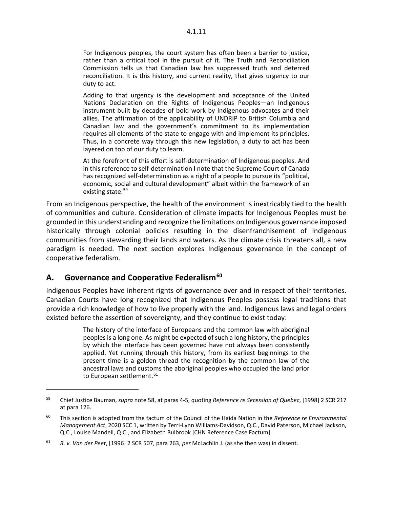For Indigenous peoples, the court system has often been a barrier to justice, rather than a critical tool in the pursuit of it. The Truth and Reconciliation Commission tells us that Canadian law has suppressed truth and deterred reconciliation. It is this history, and current reality, that gives urgency to our duty to act.

Adding to that urgency is the development and acceptance of the United Nations Declaration on the Rights of Indigenous Peoples—an Indigenous instrument built by decades of bold work by Indigenous advocates and their allies. The affirmation of the applicability of UNDRIP to British Columbia and Canadian law and the government's commitment to its implementation requires all elements of the state to engage with and implement its principles. Thus, in a concrete way through this new legislation, a duty to act has been layered on top of our duty to learn.

At the forefront of this effort is self-determination of Indigenous peoples. And in this reference to self-determination I note that the Supreme Court of Canada has recognized self-determination as a right of a people to pursue its "political, economic, social and cultural development" albeit within the framework of an existing state. [59](#page-11-1)

From an Indigenous perspective, the health of the environment is inextricably tied to the health of communities and culture. Consideration of climate impacts for Indigenous Peoples must be grounded in this understanding and recognize the limitations on Indigenous governance imposed historically through colonial policies resulting in the disenfranchisement of Indigenous communities from stewarding their lands and waters. As the climate crisis threatens all, a new paradigm is needed. The next section explores Indigenous governance in the concept of cooperative federalism.

## <span id="page-11-0"></span>**A. Governance and Cooperative Federalism[60](#page-11-2)**

 $\overline{a}$ 

Indigenous Peoples have inherent rights of governance over and in respect of their territories. Canadian Courts have long recognized that Indigenous Peoples possess legal traditions that provide a rich knowledge of how to live properly with the land. Indigenous laws and legal orders existed before the assertion of sovereignty, and they continue to exist today:

> The history of the interface of Europeans and the common law with aboriginal peoples is a long one. As might be expected of such a long history, the principles by which the interface has been governed have not always been consistently applied. Yet running through this history, from its earliest beginnings to the present time is a golden thread the recognition by the common law of the ancestral laws and customs the aboriginal peoples who occupied the land prior to European settlement.<sup>[61](#page-11-3)</sup>

<span id="page-11-1"></span><sup>59</sup> Chief Justice Bauman, *supra* note 58, at paras 4-5, quoting *Reference re Secession of Quebec*, [1998] 2 SCR 217 at para 126.

<span id="page-11-2"></span><sup>60</sup> This section is adopted from the factum of the Council of the Haida Nation in the *Reference re Environmental Management Act*, 2020 SCC 1, written by Terri-Lynn Williams-Davidson, Q.C., David Paterson, Michael Jackson, Q.C., Louise Mandell, Q.C., and Elizabeth Bulbrook [CHN Reference Case Factum].

<span id="page-11-3"></span><sup>61</sup> *R. v. Van der Peet*, [1996] 2 SCR 507, para 263, *per* McLachlin J. (as she then was) in dissent.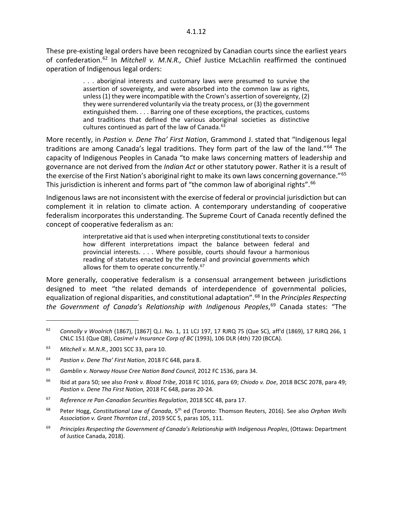These pre-existing legal orders have been recognized by Canadian courts since the earliest years of confederation.[62](#page-12-0) In *Mitchell v. M.N.R.,* Chief Justice McLachlin reaffirmed the continued operation of Indigenous legal orders:

> . . . aboriginal interests and customary laws were presumed to survive the assertion of sovereignty, and were absorbed into the common law as rights, unless (1) they were incompatible with the Crown's assertion of sovereignty, (2) they were surrendered voluntarily via the treaty process, or (3) the government extinguished them. . . . Barring one of these exceptions, the practices, customs and traditions that defined the various aboriginal societies as distinctive cultures continued as part of the law of Canada.<sup>[63](#page-12-1)</sup>

More recently, in *Pastion v. Dene Tha' First Nation*, Grammond J. stated that "Indigenous legal traditions are among Canada's legal traditions. They form part of the law of the land."<sup>[64](#page-12-2)</sup> The capacity of Indigenous Peoples in Canada "to make laws concerning matters of leadership and governance are not derived from the *Indian Act* or other statutory power. Rather it is a result of the exercise of the First Nation's aboriginal right to make its own laws concerning governance."<sup>[65](#page-12-3)</sup> This jurisdiction is inherent and forms part of "the common law of aboriginal rights".<sup>[66](#page-12-4)</sup>

Indigenous laws are not inconsistent with the exercise of federal or provincial jurisdiction but can complement it in relation to climate action. A contemporary understanding of cooperative federalism incorporates this understanding. The Supreme Court of Canada recently defined the concept of cooperative federalism as an:

> interpretative aid that is used when interpreting constitutional texts to consider how different interpretations impact the balance between federal and provincial interests. . . . Where possible, courts should favour a harmonious reading of statutes enacted by the federal and provincial governments which allows for them to operate concurrently.<sup>[67](#page-12-5)</sup>

More generally, cooperative federalism is a consensual arrangement between jurisdictions designed to meet "the related demands of interdependence of governmental policies, equalization of regional disparities, and constitutional adaptation<sup>"</sup>.<sup>[68](#page-12-6)</sup> In the *Principles Respecting the Government of Canada's Relationship with Indigenous Peoples*, [69](#page-12-7) Canada states: "The

<span id="page-12-0"></span><sup>62</sup> *Connolly v Woolrich* (1867), [1867] Q.J. No. 1, 11 LCJ 197, 17 RJRQ 75 (Que SC), aff'd (1869), 17 RJRQ 266, 1 CNLC 151 (Que QB), *Casimel v Insurance Corp of BC* (1993), 106 DLR (4th) 720 (BCCA).

<span id="page-12-1"></span><sup>63</sup> *Mitchell v. M.N.R.*, 2001 SCC 33, para 10.

<span id="page-12-2"></span><sup>64</sup> *Pastion v. Dene Tha' First Nation*, 2018 FC 648, para 8.

<span id="page-12-3"></span><sup>65</sup> *Gamblin v. Norway House Cree Nation Band Council*, 2012 FC 1536, para 34.

<span id="page-12-4"></span><sup>66</sup> Ibid at para 50; see also *Frank v. Blood Tribe*, 2018 FC 1016, para 69; *Chiodo v. Doe*, 2018 BCSC 2078, para 49; *Pastion v. Dene Tha First Nation,* 2018 FC 648, paras 20-24.

<span id="page-12-5"></span><sup>67</sup> *Reference re Pan*‑*Canadian Securities Regulation*, 2018 SCC 48, para 17.

<span id="page-12-6"></span><sup>68</sup> Peter Hogg, *Constitutional Law of Canada*, 5th ed (Toronto: Thomson Reuters, 2016). See also *Orphan Wells Association v. Grant Thornton Ltd*., 2019 SCC 5, paras 105, 111.

<span id="page-12-7"></span><sup>69</sup> *Principles Respecting the Government of Canada's Relationship with Indigenous Peoples*, (Ottawa: Department of Justice Canada, 2018).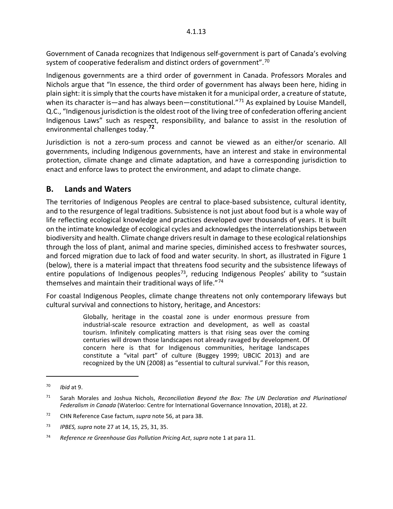Government of Canada recognizes that Indigenous self-government is part of Canada's evolving system of cooperative federalism and distinct orders of government".<sup>[70](#page-13-1)</sup>

Indigenous governments are a third order of government in Canada. Professors Morales and Nichols argue that "In essence, the third order of government has always been here, hiding in plain sight: it is simply that the courts have mistaken it for a municipal order, a creature of statute, when its character is—and has always been—constitutional."<sup>[71](#page-13-2)</sup> As explained by Louise Mandell, Q.C., "Indigenous jurisdiction is the oldest root of the living tree of confederation offering ancient Indigenous Laws" such as respect, responsibility, and balance to assist in the resolution of environmental challenges today.**[72](#page-13-3)**

Jurisdiction is not a zero-sum process and cannot be viewed as an either/or scenario. All governments, including Indigenous governments, have an interest and stake in environmental protection, climate change and climate adaptation, and have a corresponding jurisdiction to enact and enforce laws to protect the environment, and adapt to climate change.

## <span id="page-13-0"></span>**B. Lands and Waters**

The territories of Indigenous Peoples are central to place-based subsistence, cultural identity, and to the resurgence of legal traditions. Subsistence is not just about food but is a whole way of life reflecting ecological knowledge and practices developed over thousands of years. It is built on the intimate knowledge of ecological cycles and acknowledges the interrelationships between biodiversity and health. Climate change drivers result in damage to these ecological relationships through the loss of plant, animal and marine species, diminished access to freshwater sources, and forced migration due to lack of food and water security. In short, as illustrated in Figure 1 (below), there is a material impact that threatens food security and the subsistence lifeways of entire populations of Indigenous peoples<sup>73</sup>, reducing Indigenous Peoples' ability to "sustain themselves and maintain their traditional ways of life."[74](#page-13-5)

For coastal Indigenous Peoples, climate change threatens not only contemporary lifeways but cultural survival and connections to history, heritage, and Ancestors:

> Globally, heritage in the coastal zone is under enormous pressure from industrial-scale resource extraction and development, as well as coastal tourism. Infinitely complicating matters is that rising seas over the coming centuries will drown those landscapes not already ravaged by development. Of concern here is that for Indigenous communities, heritage landscapes constitute a "vital part" of culture (Buggey 1999; UBCIC 2013) and are recognized by the UN (2008) as "essential to cultural survival." For this reason,

<span id="page-13-1"></span><sup>70</sup> *Ibid* at 9.

<span id="page-13-2"></span><sup>71</sup> Sarah Morales and Joshua Nichols, *Reconciliation Beyond the Box: The UN Declaration and Plurinational Federalism in Canada* (Waterloo: Centre for International Governance Innovation, 2018), at 22.

<span id="page-13-3"></span><sup>72</sup> CHN Reference Case factum, *supra* note 56, at para 38.

<span id="page-13-4"></span><sup>73</sup> *IPBES, supra* note 27 at 14, 15, 25, 31, 35.

<span id="page-13-5"></span><sup>74</sup> *Reference re Greenhouse Gas Pollution Pricing Act*, *supra* note 1 at para 11.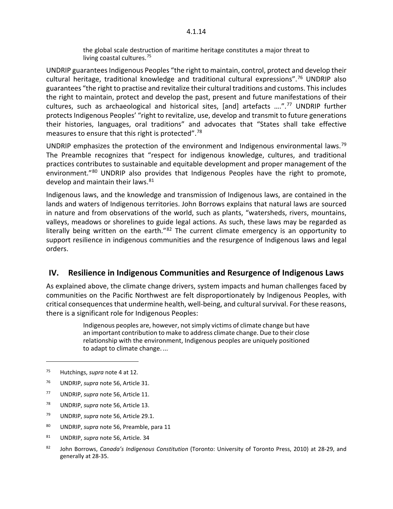the global scale destruction of maritime heritage constitutes a major threat to living coastal cultures.<sup>[75](#page-14-1)</sup>

UNDRIP guarantees Indigenous Peoples "the right to maintain, control, protect and develop their cultural heritage, traditional knowledge and traditional cultural expressions".[76](#page-14-2) UNDRIP also guarantees "the right to practise and revitalize their cultural traditions and customs. This includes the right to maintain, protect and develop the past, present and future manifestations of their cultures, such as archaeological and historical sites, [and] artefacts ....".<sup>[77](#page-14-3)</sup> UNDRIP further protects Indigenous Peoples' "right to revitalize, use, develop and transmit to future generations their histories, languages, oral traditions" and advocates that "States shall take effective measures to ensure that this right is protected".[78](#page-14-4)

UNDRIP emphasizes the protection of the environment and Indigenous environmental laws.<sup>[79](#page-14-5)</sup> The Preamble recognizes that "respect for indigenous knowledge, cultures, and traditional practices contributes to sustainable and equitable development and proper management of the environment."<sup>[80](#page-14-6)</sup> UNDRIP also provides that Indigenous Peoples have the right to promote, develop and maintain their laws. $81$ 

Indigenous laws, and the knowledge and transmission of Indigenous laws, are contained in the lands and waters of Indigenous territories. John Borrows explains that natural laws are sourced in nature and from observations of the world, such as plants, "watersheds, rivers, mountains, valleys, meadows or shorelines to guide legal actions. As such, these laws may be regarded as literally being written on the earth."<sup>[82](#page-14-8)</sup> The current climate emergency is an opportunity to support resilience in indigenous communities and the resurgence of Indigenous laws and legal orders.

#### <span id="page-14-0"></span>**IV. Resilience in Indigenous Communities and Resurgence of Indigenous Laws**

As explained above, the climate change drivers, system impacts and human challenges faced by communities on the Pacific Northwest are felt disproportionately by Indigenous Peoples, with critical consequences that undermine health, well-being, and cultural survival. For these reasons, there is a significant role for Indigenous Peoples:

> Indigenous peoples are, however, not simply victims of climate change but have an important contribution to make to address climate change. Due to their close relationship with the environment, Indigenous peoples are uniquely positioned to adapt to climate change. ...

- <span id="page-14-3"></span><sup>77</sup> UNDRIP, *supra* note 56, Article 11.
- <span id="page-14-4"></span><sup>78</sup> UNDRIP, *supra* note 56, Article 13.
- <span id="page-14-5"></span><sup>79</sup> UNDRIP, *supra* note 56, Article 29.1.
- <span id="page-14-6"></span><sup>80</sup> UNDRIP, *supra* note 56, Preamble, para 11
- <span id="page-14-7"></span><sup>81</sup> UNDRIP, *supra* note 56, Article. 34
- <span id="page-14-8"></span><sup>82</sup> John Borrows, *Canada's Indigenous Constitution* (Toronto: University of Toronto Press, 2010) at 28-29, and generally at 28-35.

<span id="page-14-1"></span><sup>75</sup> Hutchings, *supra* note 4 at 12.

<span id="page-14-2"></span><sup>76</sup> UNDRIP, *supra* note 56, Article 31.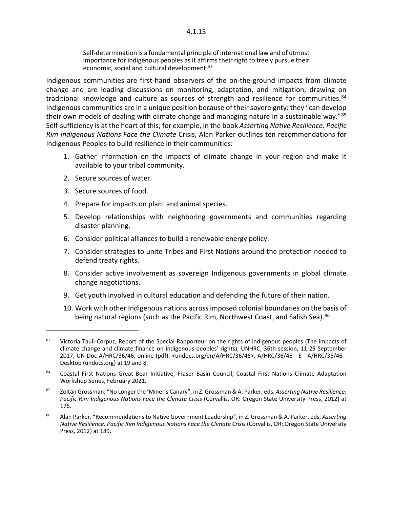Self-determination is a fundamental principle of international law and of utmost importance for indigenous peoples as it affirms their right to freely pursue their economic, social and cultural development.<sup>[83](#page-15-0)</sup>

Indigenous communities are first-hand observers of the on-the-ground impacts from climate change and are leading discussions on monitoring, adaptation, and mitigation, drawing on traditional knowledge and culture as sources of strength and resilience for communities. $84$ Indigenous communities are in a unique position because of their sovereignty: they "can develop their own models of dealing with climate change and managing nature in a sustainable way."<sup>[85](#page-15-2)</sup> Self-sufficiency is at the heart of this; for example, in the book *Asserting Native Resilience: Pacific Rim Indigenous Nations Face the Climate* Crisis, Alan Parker outlines ten recommendations for Indigenous Peoples to build resilience in their communities:

- 1. Gather information on the impacts of climate change in your region and make it available to your tribal community.
- 2. Secure sources of water.
- 3. Secure sources of food.

- 4. Prepare for impacts on plant and animal species.
- 5. Develop relationships with neighboring governments and communities regarding disaster planning.
- 6. Consider political alliances to build a renewable energy policy.
- 7. Consider strategies to unite Tribes and First Nations around the protection needed to defend treaty rights.
- 8. Consider active involvement as sovereign Indigenous governments in global climate change negotiations.
- 9. Get youth involved in cultural education and defending the future of their nation.
- 10. Work with other Indigenous nations across imposed colonial boundaries on the basis of being natural regions (such as the Pacific Rim, Northwest Coast, and Salish Sea).<sup>[86](#page-15-3)</sup>

<span id="page-15-0"></span><sup>83</sup> Victoria Tauli-Corpuz, Report of the Special Rapporteur on the rights of indigenous peoples (The impacts of climate change and climate finance on indigenous peoples' rights), UNHRC, 36th session, 11-29 September 2017, UN Doc A/HRC/36/46, online (pdf): <undocs.org/en/A/HRC/36/46>, A/HRC/36/46 - E - A/HRC/36/46 - Desktop (undocs.org) at 19 and 8.

<span id="page-15-1"></span><sup>84</sup> Coastal First Nations Great Bear Initiative, Fraser Basin Council, Coastal First Nations Climate Adaptation Workshop Series, February 2021.

<span id="page-15-2"></span><sup>85</sup> Zoltán Grossman, "No Longer the 'Miner's Canary", in Z. Grossman & A. Parker, eds, *Asserting Native Resilience: Pacific Rim Indigenous Nations Face the Climate Crisis* (Corvallis, OR: Oregon State University Press, 2012) at 176.

<span id="page-15-3"></span><sup>86</sup> Alan Parker, "Recommendations to Native Government Leadership", in Z. Grossman & A. Parker, eds, *Asserting Native Resilience: Pacific Rim Indigenous Nations Face the Climate Crisis* (Corvallis, OR: Oregon State University Press, 2012) at 189.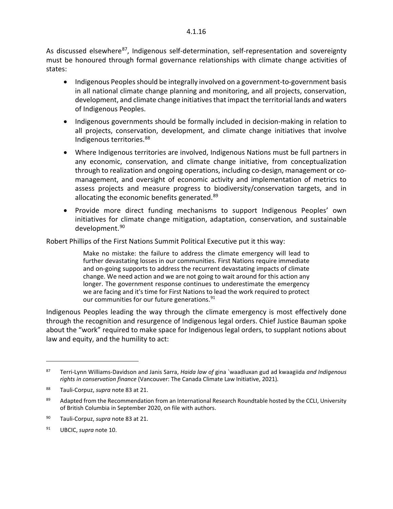As discussed elsewhere<sup>[87](#page-16-0)</sup>, Indigenous self-determination, self-representation and sovereignty must be honoured through formal governance relationships with climate change activities of states:

- Indigenous Peoples should be integrally involved on a government-to-government basis in all national climate change planning and monitoring, and all projects, conservation, development, and climate change initiatives that impact the territorial lands and waters of Indigenous Peoples.
- Indigenous governments should be formally included in decision-making in relation to all projects, conservation, development, and climate change initiatives that involve Indigenous territories.[88](#page-16-1)
- Where Indigenous territories are involved, Indigenous Nations must be full partners in any economic, conservation, and climate change initiative, from conceptualization through to realization and ongoing operations, including co-design, management or comanagement, and oversight of economic activity and implementation of metrics to assess projects and measure progress to biodiversity/conservation targets, and in allocating the economic benefits generated.<sup>[89](#page-16-2)</sup>
- Provide more direct funding mechanisms to support Indigenous Peoples' own initiatives for climate change mitigation, adaptation, conservation, and sustainable development. [90](#page-16-3)

Robert Phillips of the First Nations Summit Political Executive put it this way:

Make no mistake: the failure to address the climate emergency will lead to further devastating losses in our communities. First Nations require immediate and on-going supports to address the recurrent devastating impacts of climate change. We need action and we are not going to wait around for this action any longer. The government response continues to underestimate the emergency we are facing and it's time for First Nations to lead the work required to protect our communities for our future generations.<sup>[91](#page-16-4)</sup>

Indigenous Peoples leading the way through the climate emergency is most effectively done through the recognition and resurgence of Indigenous legal orders. Chief Justice Bauman spoke about the "work" required to make space for Indigenous legal orders, to supplant notions about law and equity, and the humility to act:

<span id="page-16-0"></span><sup>87</sup> Terri-Lynn Williams-Davidson and Janis Sarra, *Haida law of* gina `waadluxan gud ad kwaagiida *and Indigenous rights in conservation finance* (Vancouver: The Canada Climate Law Initiative, 2021)*.*

<span id="page-16-1"></span><sup>88</sup> Tauli-Corpuz, *supra* note 83 at 21.

<span id="page-16-2"></span><sup>89</sup> Adapted from the Recommendation from an International Research Roundtable hosted by the CCLI, University of British Columbia in September 2020, on file with authors.

<span id="page-16-3"></span><sup>90</sup> Tauli-Corpuz, *supra* note 83 at 21.

<span id="page-16-4"></span><sup>91</sup> UBCIC, *supra* note 10.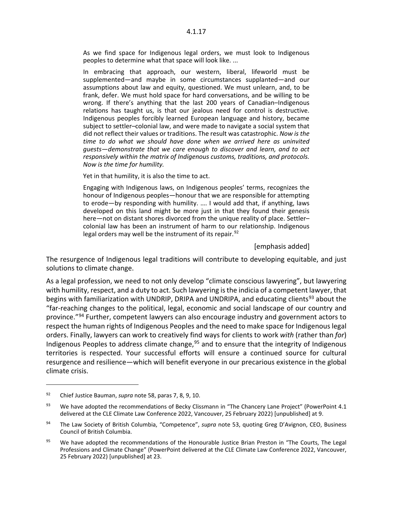As we find space for Indigenous legal orders, we must look to Indigenous peoples to determine what that space will look like. ...

In embracing that approach, our western, liberal, lifeworld must be supplemented—and maybe in some circumstances supplanted—and our assumptions about law and equity, questioned. We must unlearn, and, to be frank, defer. We must hold space for hard conversations, and be willing to be wrong. If there's anything that the last 200 years of Canadian–Indigenous relations has taught us, is that our jealous need for control is destructive. Indigenous peoples forcibly learned European language and history, became subject to settler–colonial law, and were made to navigate a social system that did not reflect their values or traditions. The result was catastrophic. *Now is the time to do what we should have done when we arrived here as uninvited guests—demonstrate that we care enough to discover and learn, and to act responsively within the matrix of Indigenous customs, traditions, and protocols. Now is the time for humility.*

Yet in that humility, it is also the time to act.

Engaging with Indigenous laws, on Indigenous peoples' terms, recognizes the honour of Indigenous peoples—honour that we are responsible for attempting to erode—by responding with humility. …. I would add that, if anything, laws developed on this land might be more just in that they found their genesis here—not on distant shores divorced from the unique reality of place. Settler– colonial law has been an instrument of harm to our relationship. Indigenous legal orders may well be the instrument of its repair.<sup>[92](#page-17-0)</sup>

#### [emphasis added]

The resurgence of Indigenous legal traditions will contribute to developing equitable, and just solutions to climate change.

As a legal profession, we need to not only develop "climate conscious lawyering", but lawyering with humility, respect, and a duty to act. Such lawyering is the indicia of a competent lawyer, that begins with familiarization with UNDRIP, DRIPA and UNDRIPA, and educating clients<sup>[93](#page-17-1)</sup> about the "far-reaching changes to the political, legal, economic and social landscape of our country and province."<sup>[94](#page-17-2)</sup> Further, competent lawyers can also encourage industry and government actors to respect the human rights of Indigenous Peoples and the need to make space for Indigenous legal orders. Finally, lawyers can work to creatively find ways for clients to work *with* (rather than *for*) Indigenous Peoples to address climate change,<sup>[95](#page-17-3)</sup> and to ensure that the integrity of Indigenous territories is respected. Your successful efforts will ensure a continued source for cultural resurgence and resilience—which will benefit everyone in our precarious existence in the global climate crisis.

<span id="page-17-0"></span><sup>92</sup> Chief Justice Bauman, *supra* note 58, paras 7, 8, 9, 10.

<span id="page-17-1"></span><sup>93</sup> We have adopted the recommendations of Becky Clissmann in "The Chancery Lane Project" (PowerPoint 4.1 delivered at the CLE Climate Law Conference 2022, Vancouver, 25 February 2022) [unpublished] at 9.

<span id="page-17-2"></span><sup>94</sup> The Law Society of British Columbia, "Competence", *supra* note 53, quoting Greg D'Avignon, CEO, Business Council of British Columbia.

<span id="page-17-3"></span><sup>&</sup>lt;sup>95</sup> We have adopted the recommendations of the Honourable Justice Brian Preston in "The Courts, The Legal Professions and Climate Change" (PowerPoint delivered at the CLE Climate Law Conference 2022, Vancouver, 25 February 2022) [unpublished] at 23.